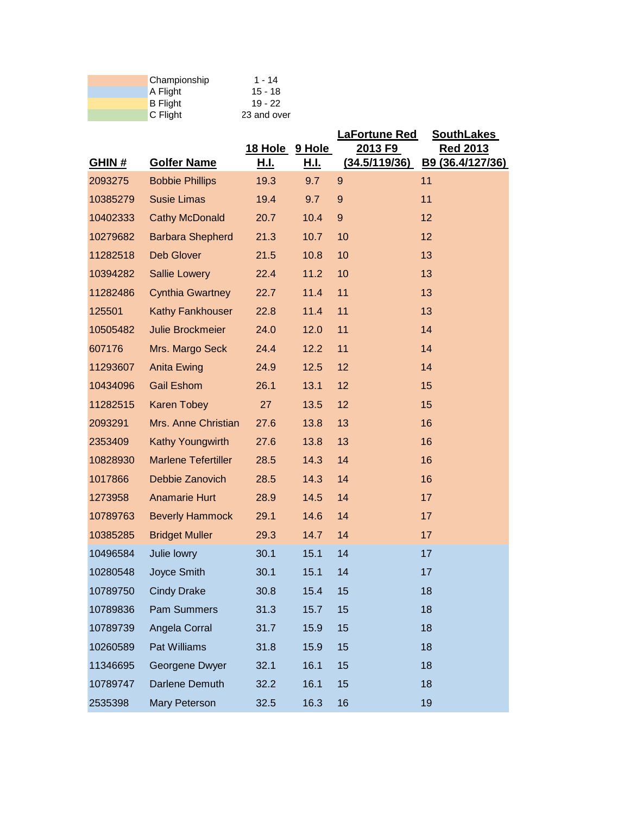| Championship    | $1 - 14$    |
|-----------------|-------------|
| A Flight        | $15 - 18$   |
| <b>B</b> Flight | $19 - 22$   |
| C Flight        | 23 and over |

|              |                            |                |             | <b>LaFortune Red</b> | <b>SouthLakes</b> |
|--------------|----------------------------|----------------|-------------|----------------------|-------------------|
|              |                            | 18 Hole 9 Hole |             | 2013 F9              | <b>Red 2013</b>   |
| <b>GHIN#</b> | <b>Golfer Name</b>         | <u>Н.І.</u>    | <u>H.I.</u> | (34.5/119/36)        | B9 (36.4/127/36)  |
| 2093275      | <b>Bobbie Phillips</b>     | 19.3           | 9.7         | $\overline{9}$       | 11                |
| 10385279     | <b>Susie Limas</b>         | 19.4           | 9.7         | $9$                  | 11                |
| 10402333     | <b>Cathy McDonald</b>      | 20.7           | 10.4        | $\boldsymbol{9}$     | 12                |
| 10279682     | <b>Barbara Shepherd</b>    | 21.3           | 10.7        | 10                   | 12                |
| 11282518     | <b>Deb Glover</b>          | 21.5           | 10.8        | 10                   | 13                |
| 10394282     | <b>Sallie Lowery</b>       | 22.4           | 11.2        | 10                   | 13                |
| 11282486     | <b>Cynthia Gwartney</b>    | 22.7           | 11.4        | 11                   | 13                |
| 125501       | <b>Kathy Fankhouser</b>    | 22.8           | 11.4        | 11                   | 13                |
| 10505482     | Julie Brockmeier           | 24.0           | 12.0        | 11                   | 14                |
| 607176       | Mrs. Margo Seck            | 24.4           | 12.2        | 11                   | 14                |
| 11293607     | <b>Anita Ewing</b>         | 24.9           | 12.5        | 12                   | 14                |
| 10434096     | <b>Gail Eshom</b>          | 26.1           | 13.1        | 12                   | 15                |
| 11282515     | Karen Tobey                | 27             | 13.5        | 12                   | 15                |
| 2093291      | Mrs. Anne Christian        | 27.6           | 13.8        | 13                   | 16                |
| 2353409      | Kathy Youngwirth           | 27.6           | 13.8        | 13                   | 16                |
| 10828930     | <b>Marlene Tefertiller</b> | 28.5           | 14.3        | 14                   | 16                |
| 1017866      | Debbie Zanovich            | 28.5           | 14.3        | 14                   | 16                |
| 1273958      | <b>Anamarie Hurt</b>       | 28.9           | 14.5        | 14                   | 17                |
| 10789763     | <b>Beverly Hammock</b>     | 29.1           | 14.6        | 14                   | 17                |
| 10385285     | <b>Bridget Muller</b>      | 29.3           | 14.7        | 14                   | 17                |
| 10496584     | Julie lowry                | 30.1           | 15.1        | 14                   | 17                |
| 10280548     | Joyce Smith                | 30.1           | 15.1        | 14                   | 17                |
| 10789750     | <b>Cindy Drake</b>         | 30.8           | 15.4        | 15                   | 18                |
| 10789836     | <b>Pam Summers</b>         | 31.3           | 15.7        | 15                   | 18                |
| 10789739     | Angela Corral              | 31.7           | 15.9        | 15                   | 18                |
| 10260589     | Pat Williams               | 31.8           | 15.9        | 15                   | 18                |
| 11346695     | Georgene Dwyer             | 32.1           | 16.1        | 15                   | 18                |
| 10789747     | Darlene Demuth             | 32.2           | 16.1        | 15                   | 18                |
| 2535398      | Mary Peterson              | 32.5           | 16.3        | 16                   | 19                |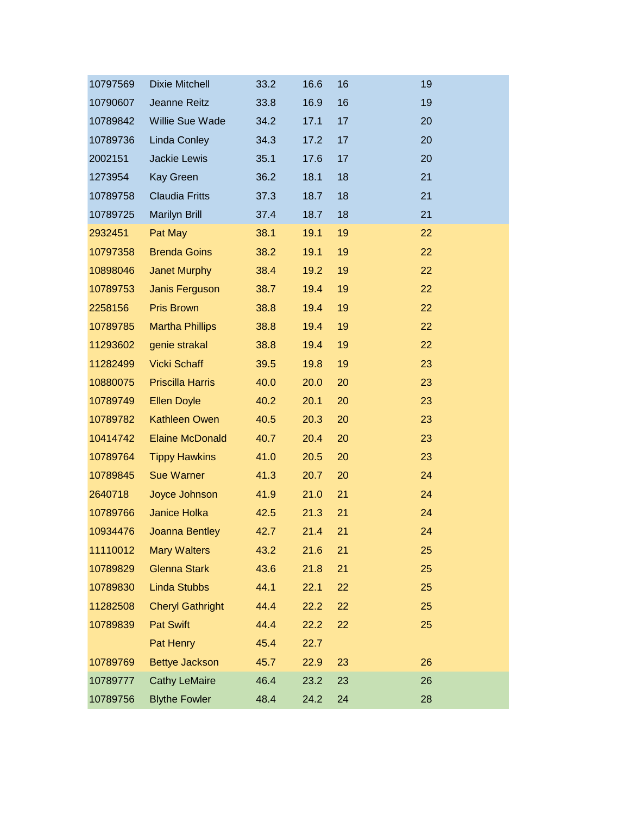| 10797569 | <b>Dixie Mitchell</b>   | 33.2 | 16.6 | 16 | 19 |
|----------|-------------------------|------|------|----|----|
| 10790607 | Jeanne Reitz            | 33.8 | 16.9 | 16 | 19 |
| 10789842 | Willie Sue Wade         | 34.2 | 17.1 | 17 | 20 |
| 10789736 | Linda Conley            | 34.3 | 17.2 | 17 | 20 |
| 2002151  | Jackie Lewis            | 35.1 | 17.6 | 17 | 20 |
| 1273954  | <b>Kay Green</b>        | 36.2 | 18.1 | 18 | 21 |
| 10789758 | <b>Claudia Fritts</b>   | 37.3 | 18.7 | 18 | 21 |
| 10789725 | <b>Marilyn Brill</b>    | 37.4 | 18.7 | 18 | 21 |
| 2932451  | Pat May                 | 38.1 | 19.1 | 19 | 22 |
| 10797358 | <b>Brenda Goins</b>     | 38.2 | 19.1 | 19 | 22 |
| 10898046 | <b>Janet Murphy</b>     | 38.4 | 19.2 | 19 | 22 |
| 10789753 | Janis Ferguson          | 38.7 | 19.4 | 19 | 22 |
| 2258156  | <b>Pris Brown</b>       | 38.8 | 19.4 | 19 | 22 |
| 10789785 | <b>Martha Phillips</b>  | 38.8 | 19.4 | 19 | 22 |
| 11293602 | genie strakal           | 38.8 | 19.4 | 19 | 22 |
| 11282499 | <b>Vicki Schaff</b>     | 39.5 | 19.8 | 19 | 23 |
| 10880075 | <b>Priscilla Harris</b> | 40.0 | 20.0 | 20 | 23 |
| 10789749 | <b>Ellen Doyle</b>      | 40.2 | 20.1 | 20 | 23 |
| 10789782 | <b>Kathleen Owen</b>    | 40.5 | 20.3 | 20 | 23 |
| 10414742 | <b>Elaine McDonald</b>  | 40.7 | 20.4 | 20 | 23 |
| 10789764 | <b>Tippy Hawkins</b>    | 41.0 | 20.5 | 20 | 23 |
| 10789845 | <b>Sue Warner</b>       | 41.3 | 20.7 | 20 | 24 |
| 2640718  | Joyce Johnson           | 41.9 | 21.0 | 21 | 24 |
| 10789766 | Janice Holka            | 42.5 | 21.3 | 21 | 24 |
| 10934476 | Joanna Bentley          | 42.7 | 21.4 | 21 | 24 |
| 11110012 | <b>Mary Walters</b>     | 43.2 | 21.6 | 21 | 25 |
| 10789829 | <b>Glenna Stark</b>     | 43.6 | 21.8 | 21 | 25 |
| 10789830 | <b>Linda Stubbs</b>     | 44.1 | 22.1 | 22 | 25 |
| 11282508 | <b>Cheryl Gathright</b> | 44.4 | 22.2 | 22 | 25 |
| 10789839 | <b>Pat Swift</b>        | 44.4 | 22.2 | 22 | 25 |
|          | Pat Henry               | 45.4 | 22.7 |    |    |
| 10789769 | <b>Bettye Jackson</b>   | 45.7 | 22.9 | 23 | 26 |
| 10789777 | <b>Cathy LeMaire</b>    | 46.4 | 23.2 | 23 | 26 |
| 10789756 | <b>Blythe Fowler</b>    | 48.4 | 24.2 | 24 | 28 |